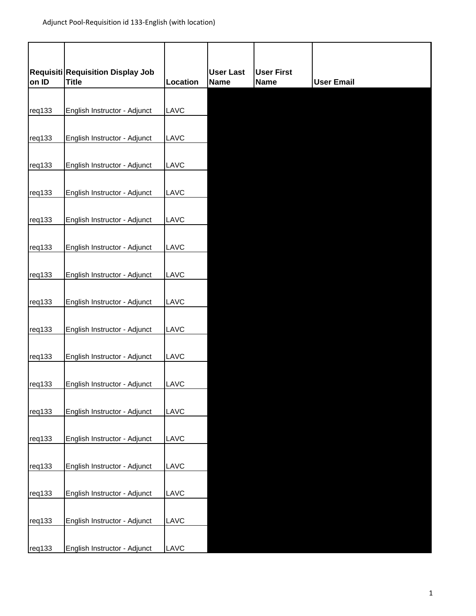| on ID  | Requisiti Requisition Display Job<br><b>Title</b> | Location | <b>User Last</b><br><b>Name</b> | <b>User First</b><br><b>Name</b> | <b>User Email</b> |
|--------|---------------------------------------------------|----------|---------------------------------|----------------------------------|-------------------|
|        |                                                   |          |                                 |                                  |                   |
| req133 | English Instructor - Adjunct                      | LAVC     |                                 |                                  |                   |
| req133 | English Instructor - Adjunct                      | LAVC     |                                 |                                  |                   |
| req133 | English Instructor - Adjunct                      | LAVC     |                                 |                                  |                   |
| req133 | English Instructor - Adjunct                      | LAVC     |                                 |                                  |                   |
| req133 | English Instructor - Adjunct                      | LAVC     |                                 |                                  |                   |
| req133 | English Instructor - Adjunct                      | LAVC     |                                 |                                  |                   |
| req133 | English Instructor - Adjunct                      | LAVC     |                                 |                                  |                   |
| req133 | English Instructor - Adjunct                      | LAVC     |                                 |                                  |                   |
| req133 | English Instructor - Adjunct                      | LAVC     |                                 |                                  |                   |
| req133 | English Instructor - Adjunct                      | LAVC     |                                 |                                  |                   |
| req133 | English Instructor - Adjunct                      | LAVC     |                                 |                                  |                   |
| req133 | English Instructor - Adjunct                      | LAVC     |                                 |                                  |                   |
| req133 | English Instructor - Adjunct                      | LAVC     |                                 |                                  |                   |
| req133 | English Instructor - Adjunct                      | LAVC     |                                 |                                  |                   |
| req133 | English Instructor - Adjunct                      | LAVC     |                                 |                                  |                   |
| req133 | English Instructor - Adjunct                      | LAVC     |                                 |                                  |                   |
| req133 | English Instructor - Adjunct                      | LAVC     |                                 |                                  |                   |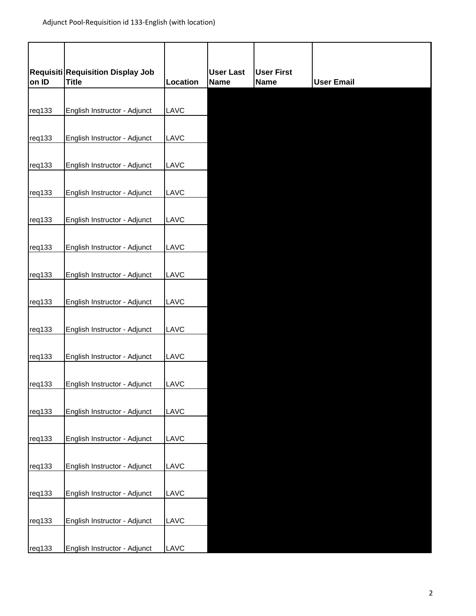| on ID  | Requisiti Requisition Display Job<br><b>Title</b> | Location | <b>User Last</b><br><b>Name</b> | <b>User First</b><br><b>Name</b> | <b>User Email</b> |
|--------|---------------------------------------------------|----------|---------------------------------|----------------------------------|-------------------|
|        |                                                   |          |                                 |                                  |                   |
| req133 | English Instructor - Adjunct                      | LAVC     |                                 |                                  |                   |
| req133 | English Instructor - Adjunct                      | LAVC     |                                 |                                  |                   |
| req133 | English Instructor - Adjunct                      | LAVC     |                                 |                                  |                   |
| req133 | English Instructor - Adjunct                      | LAVC     |                                 |                                  |                   |
| req133 | English Instructor - Adjunct                      | LAVC     |                                 |                                  |                   |
| req133 | English Instructor - Adjunct                      | LAVC     |                                 |                                  |                   |
| req133 | English Instructor - Adjunct                      | LAVC     |                                 |                                  |                   |
| req133 | English Instructor - Adjunct                      | LAVC     |                                 |                                  |                   |
| req133 | English Instructor - Adjunct                      | LAVC     |                                 |                                  |                   |
| req133 | English Instructor - Adjunct                      | LAVC     |                                 |                                  |                   |
| req133 | English Instructor - Adjunct                      | LAVC     |                                 |                                  |                   |
| req133 | English Instructor - Adjunct                      | LAVC     |                                 |                                  |                   |
| req133 | English Instructor - Adjunct                      | LAVC     |                                 |                                  |                   |
| req133 | English Instructor - Adjunct                      | LAVC     |                                 |                                  |                   |
| req133 | English Instructor - Adjunct                      | LAVC     |                                 |                                  |                   |
| req133 | English Instructor - Adjunct                      | LAVC     |                                 |                                  |                   |
| req133 | English Instructor - Adjunct                      | LAVC     |                                 |                                  |                   |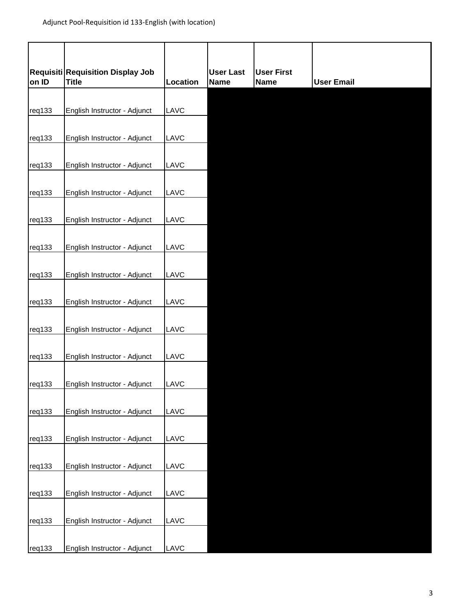| on ID  | Requisiti Requisition Display Job<br><b>Title</b> | Location | <b>User Last</b><br><b>Name</b> | <b>User First</b><br><b>Name</b> | <b>User Email</b> |
|--------|---------------------------------------------------|----------|---------------------------------|----------------------------------|-------------------|
|        |                                                   |          |                                 |                                  |                   |
| req133 | English Instructor - Adjunct                      | LAVC     |                                 |                                  |                   |
| req133 | English Instructor - Adjunct                      | LAVC     |                                 |                                  |                   |
| req133 | English Instructor - Adjunct                      | LAVC     |                                 |                                  |                   |
| req133 | English Instructor - Adjunct                      | LAVC     |                                 |                                  |                   |
| req133 | English Instructor - Adjunct                      | LAVC     |                                 |                                  |                   |
| req133 | English Instructor - Adjunct                      | LAVC     |                                 |                                  |                   |
| req133 | English Instructor - Adjunct                      | LAVC     |                                 |                                  |                   |
| req133 | English Instructor - Adjunct                      | LAVC     |                                 |                                  |                   |
| req133 | English Instructor - Adjunct                      | LAVC     |                                 |                                  |                   |
| req133 | English Instructor - Adjunct                      | LAVC     |                                 |                                  |                   |
| req133 | English Instructor - Adjunct                      | LAVC     |                                 |                                  |                   |
| req133 | English Instructor - Adjunct                      | LAVC     |                                 |                                  |                   |
| req133 | English Instructor - Adjunct                      | LAVC     |                                 |                                  |                   |
| req133 | English Instructor - Adjunct                      | LAVC     |                                 |                                  |                   |
| req133 | English Instructor - Adjunct                      | LAVC     |                                 |                                  |                   |
| req133 | English Instructor - Adjunct                      | LAVC     |                                 |                                  |                   |
| req133 | English Instructor - Adjunct                      | LAVC     |                                 |                                  |                   |